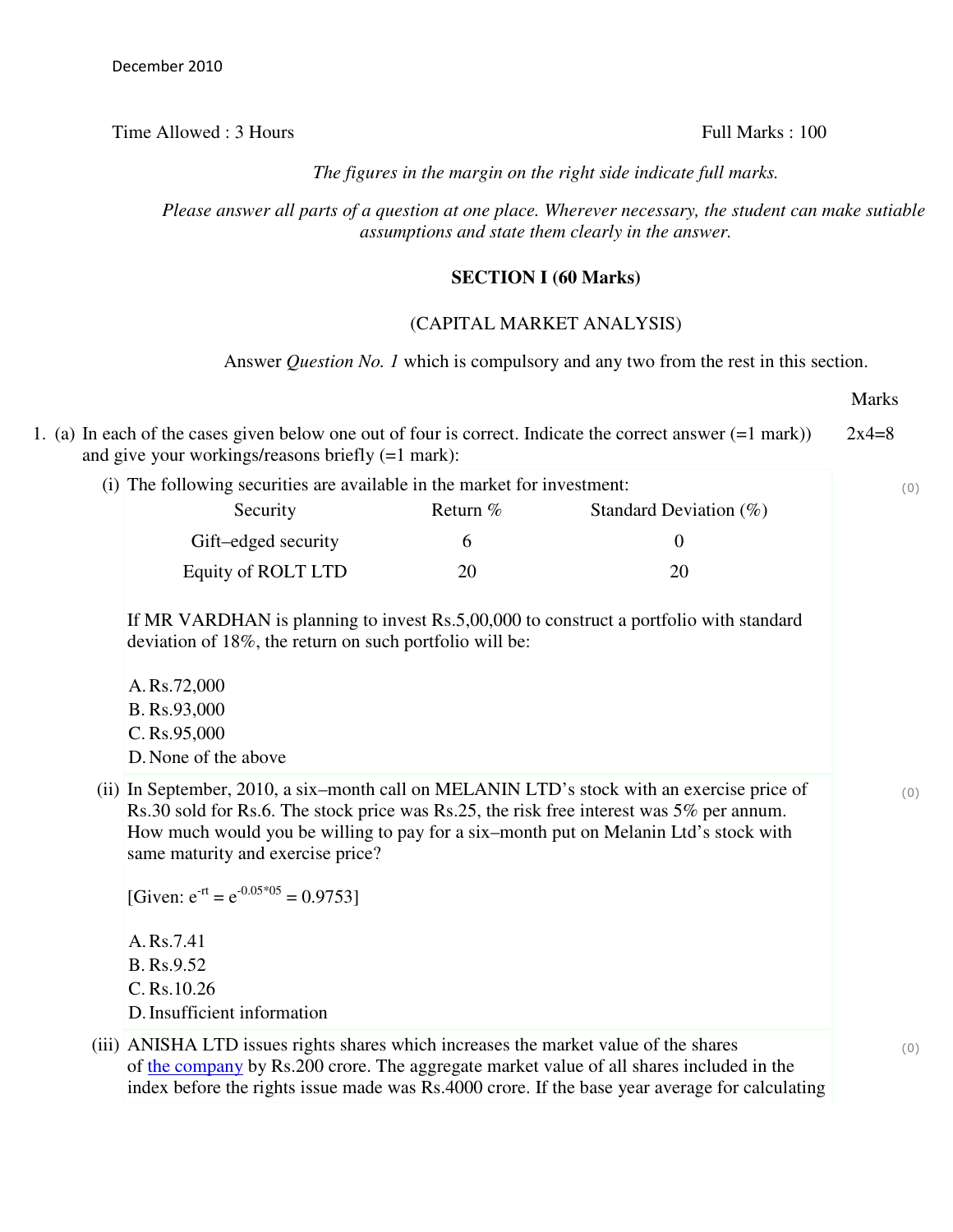Time Allowed : 3 Hours Full Marks : 100

*The figures in the margin on the right side indicate full marks.*

*Please answer all parts of a question at one place. Wherever necessary, the student can make sutiable assumptions and state them clearly in the answer.*

## **SECTION I (60 Marks)**

## (CAPITAL MARKET ANALYSIS)

Answer *Question No. 1* which is compulsory and any two from the rest in this section.

| (i) The following securities are available in the market for investment:                                                                                                                                                                                                                                                                                           |          |                                                                                        |
|--------------------------------------------------------------------------------------------------------------------------------------------------------------------------------------------------------------------------------------------------------------------------------------------------------------------------------------------------------------------|----------|----------------------------------------------------------------------------------------|
| Security                                                                                                                                                                                                                                                                                                                                                           | Return % | Standard Deviation $(\%)$                                                              |
| Gift-edged security                                                                                                                                                                                                                                                                                                                                                | 6        | $\overline{0}$                                                                         |
| Equity of ROLT LTD                                                                                                                                                                                                                                                                                                                                                 | 20       | 20                                                                                     |
| deviation of 18%, the return on such portfolio will be:<br>A.Rs.72,000<br>B. Rs.93,000<br>C. Rs.95,000<br>D. None of the above                                                                                                                                                                                                                                     |          | If MR VARDHAN is planning to invest Rs.5,00,000 to construct a portfolio with standard |
| (ii) In September, 2010, a six-month call on MELANIN LTD's stock with an exercise price of<br>Rs.30 sold for Rs.6. The stock price was Rs.25, the risk free interest was 5% per annum.<br>How much would you be willing to pay for a six-month put on Melanin Ltd's stock with<br>same maturity and exercise price?<br>[Given: $e^{-rt} = e^{-0.05*05} = 0.9753$ ] |          |                                                                                        |
| A.Rs.7.41<br>B. Rs.9.52<br>C. Rs.10.26<br>D. Insufficient information                                                                                                                                                                                                                                                                                              |          |                                                                                        |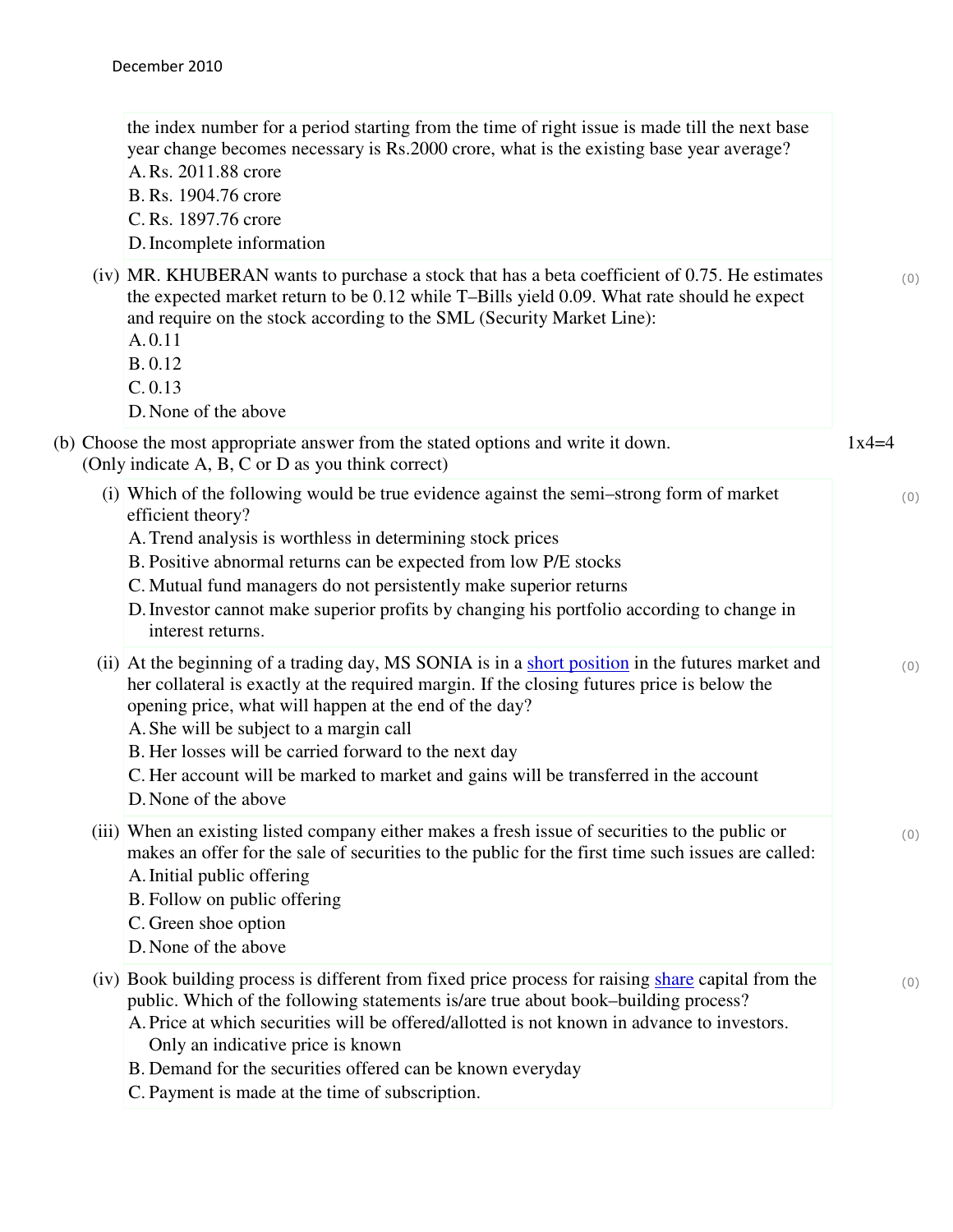| the index number for a period starting from the time of right issue is made till the next base<br>year change becomes necessary is Rs.2000 crore, what is the existing base year average?<br>A.Rs. 2011.88 crore<br>B. Rs. 1904.76 crore<br>C. Rs. 1897.76 crore<br>D. Incomplete information                                                                                                                                                                                  |         |
|--------------------------------------------------------------------------------------------------------------------------------------------------------------------------------------------------------------------------------------------------------------------------------------------------------------------------------------------------------------------------------------------------------------------------------------------------------------------------------|---------|
| (iv) MR. KHUBERAN wants to purchase a stock that has a beta coefficient of 0.75. He estimates<br>the expected market return to be 0.12 while T-Bills yield 0.09. What rate should he expect<br>and require on the stock according to the SML (Security Market Line):<br>A.0.11<br>B. 0.12<br>C. 0.13<br>D. None of the above                                                                                                                                                   | (0)     |
| (b) Choose the most appropriate answer from the stated options and write it down.<br>(Only indicate A, B, C or D as you think correct)                                                                                                                                                                                                                                                                                                                                         | $1x4=4$ |
| (i) Which of the following would be true evidence against the semi-strong form of market<br>efficient theory?<br>A. Trend analysis is worthless in determining stock prices<br>B. Positive abnormal returns can be expected from low P/E stocks<br>C. Mutual fund managers do not persistently make superior returns<br>D. Investor cannot make superior profits by changing his portfolio according to change in<br>interest returns.                                         | (0)     |
| (ii) At the beginning of a trading day, MS SONIA is in a short position in the futures market and<br>her collateral is exactly at the required margin. If the closing futures price is below the<br>opening price, what will happen at the end of the day?<br>A. She will be subject to a margin call<br>B. Her losses will be carried forward to the next day<br>C. Her account will be marked to market and gains will be transferred in the account<br>D. None of the above | (0)     |
| (iii) When an existing listed company either makes a fresh issue of securities to the public or<br>makes an offer for the sale of securities to the public for the first time such issues are called:<br>A. Initial public offering<br>B. Follow on public offering<br>C. Green shoe option<br>D. None of the above                                                                                                                                                            | (0)     |
| (iv) Book building process is different from fixed price process for raising share capital from the<br>public. Which of the following statements is/are true about book-building process?<br>A. Price at which securities will be offered/allotted is not known in advance to investors.<br>Only an indicative price is known<br>B. Demand for the securities offered can be known everyday<br>C. Payment is made at the time of subscription.                                 | (0)     |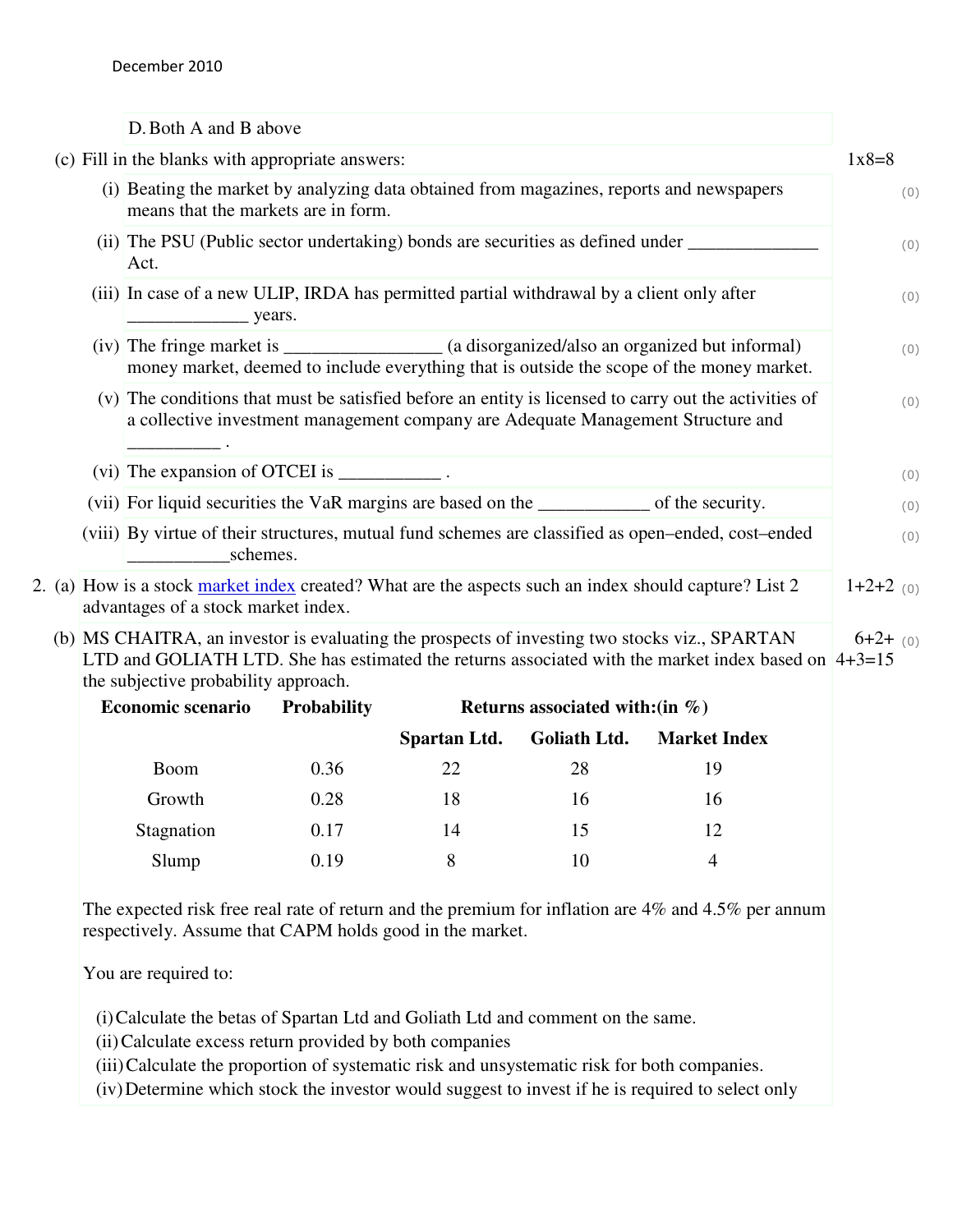|  | D. Both A and B above                                                                                                                                                                                                                          |             |
|--|------------------------------------------------------------------------------------------------------------------------------------------------------------------------------------------------------------------------------------------------|-------------|
|  | (c) Fill in the blanks with appropriate answers:                                                                                                                                                                                               | $1x8=8$     |
|  | (i) Beating the market by analyzing data obtained from magazines, reports and newspapers<br>means that the markets are in form.                                                                                                                | (0)         |
|  | (ii) The PSU (Public sector undertaking) bonds are securities as defined under _______________________________<br>Act.                                                                                                                         | (0)         |
|  | (iii) In case of a new ULIP, IRDA has permitted partial withdrawal by a client only after<br>$\frac{\ }{\ }$ years.                                                                                                                            | (0)         |
|  | (iv) The fringe market is _______________ (a disorganized/also an organized but informal)<br>money market, deemed to include everything that is outside the scope of the money market.                                                         | (0)         |
|  | (v) The conditions that must be satisfied before an entity is licensed to carry out the activities of<br>a collective investment management company are Adequate Management Structure and                                                      | (0)         |
|  | (vi) The expansion of OTCEI is ______________.                                                                                                                                                                                                 | (0)         |
|  | (vii) For liquid securities the VaR margins are based on the _______________ of the security.                                                                                                                                                  | (0)         |
|  | (viii) By virtue of their structures, mutual fund schemes are classified as open-ended, cost-ended<br>schemes.                                                                                                                                 | (0)         |
|  | 2. (a) How is a stock market index created? What are the aspects such an index should capture? List 2<br>advantages of a stock market index.                                                                                                   | $1+2+2$ (0) |
|  | (b) MS CHAITRA, an investor is evaluating the prospects of investing two stocks viz., SPARTAN<br>LTD and GOLIATH LTD. She has estimated the returns associated with the market index based on $4+3=15$<br>the subjective probability approach. | $6+2+$ (0)  |
|  | <b>Economic scenario</b><br><b>Probability</b><br>Returns associated with: $(in \%)$                                                                                                                                                           |             |
|  | <b>Spartan I td.</b> Coliath I td. Market Index                                                                                                                                                                                                |             |

|             |      | Spartan Ltd. | Goliath Ltd. | <b>Market Index</b> |
|-------------|------|--------------|--------------|---------------------|
| <b>Boom</b> | 0.36 | 22           | 28           | 19                  |
| Growth      | 0.28 | 18           | 16           | 16                  |
| Stagnation  | 0.17 | 14           | 15           | 12                  |
| Slump       | 0.19 | 8            | 10           |                     |

The expected risk free real rate of return and the premium for inflation are 4% and 4.5% per annum respectively. Assume that CAPM holds good in the market.

You are required to:

(i)Calculate the betas of Spartan Ltd and Goliath Ltd and comment on the same.

(ii)Calculate excess return provided by both companies

(iii)Calculate the proportion of systematic risk and unsystematic risk for both companies.

(iv)Determine which stock the investor would suggest to invest if he is required to select only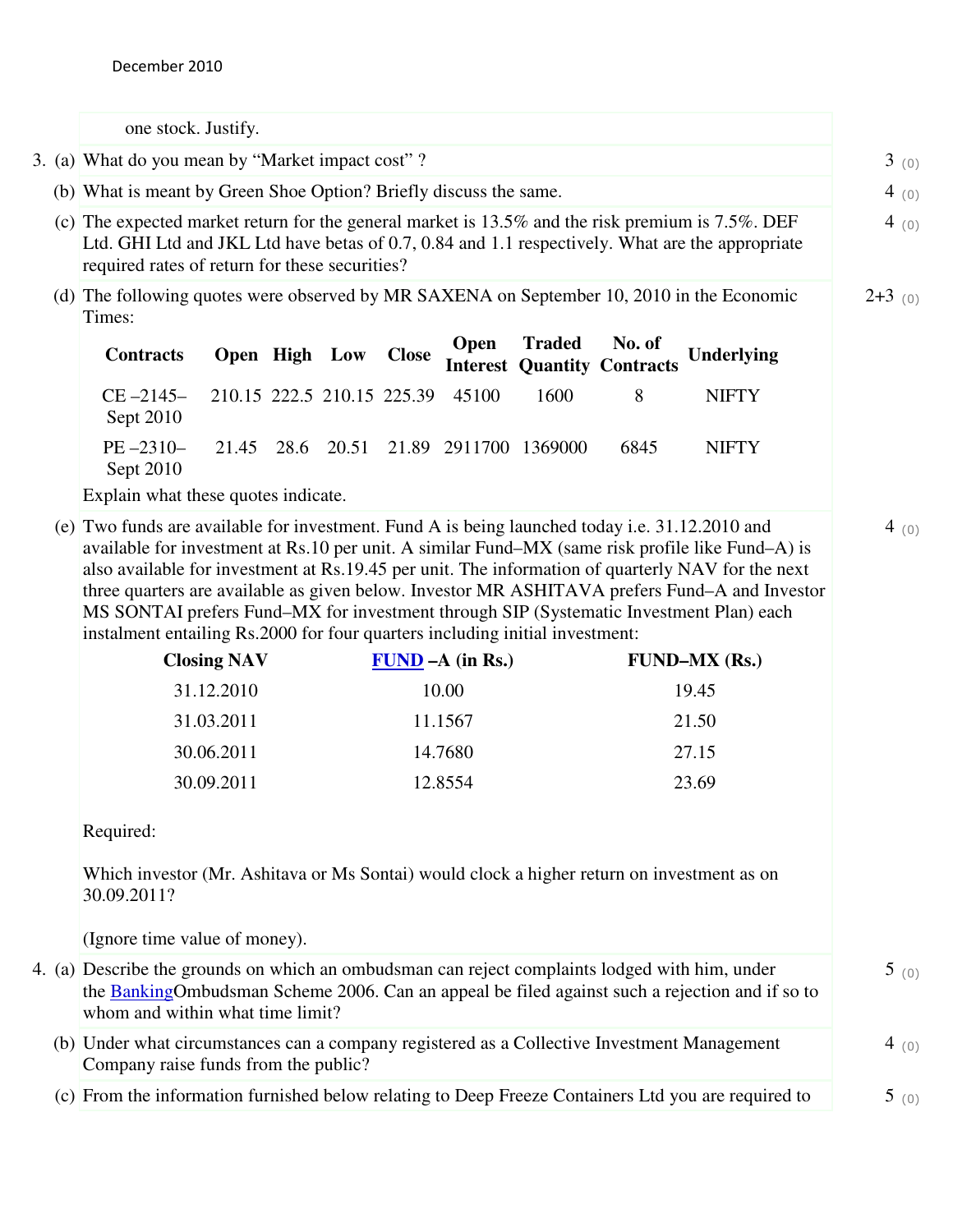one stock. Justify.

3. (a) What do you mean by "Market impact cost" ?  $3 \text{ } (0)$ 

(b) What is meant by Green Shoe Option? Briefly discuss the same.  $4 \quad (0)$ 

- (c) The expected market return for the general market is 13.5% and the risk premium is 7.5%. DEF Ltd. GHI Ltd and JKL Ltd have betas of 0.7, 0.84 and 1.1 respectively. What are the appropriate required rates of return for these securities?
- (d) The following quotes were observed by MR SAXENA on September 10, 2010 in the Economic Times:  $2+3$  (0)

4 (0)

4 (0)

| Contracts Open High Low Close Open Traded No. of Underlying<br>Interest Quantity Contracts |  |  |  |              |
|--------------------------------------------------------------------------------------------|--|--|--|--------------|
| $CE - 2145 - 210.15$ 222.5 210.15 225.39 45100 1600 8<br>Sept 2010                         |  |  |  | <b>NIFTY</b> |
| PE-2310- 21.45 28.6 20.51 21.89 2911700 1369000 6845<br>Sept 2010                          |  |  |  | <b>NIFTY</b> |

Explain what these quotes indicate.

(e) Two funds are available for investment. Fund A is being launched today i.e. 31.12.2010 and available for investment at Rs.10 per unit. A similar Fund–MX (same risk profile like Fund–A) is also available for investment at Rs.19.45 per unit. The information of quarterly NAV for the next three quarters are available as given below. Investor MR ASHITAVA prefers Fund–A and Investor MS SONTAI prefers Fund–MX for investment through SIP (Systematic Investment Plan) each instalment entailing Rs.2000 for four quarters including initial investment:

| <b>Closing NAV</b> | $FUND - A (in Rs.)$ | $FUND-MX (Rs.)$ |
|--------------------|---------------------|-----------------|
| 31.12.2010         | 10.00               | 19.45           |
| 31.03.2011         | 11.1567             | 21.50           |
| 30.06.2011         | 14.7680             | 27.15           |
| 30.09.2011         | 12.8554             | 23.69           |

Required:

Which investor (Mr. Ashitava or Ms Sontai) would clock a higher return on investment as on 30.09.2011?

(Ignore time value of money).

- 4. (a) Describe the grounds on which an ombudsman can reject complaints lodged with him, under the BankingOmbudsman Scheme 2006. Can an appeal be filed against such a rejection and if so to whom and within what time limit?  $5(0)$ 
	- (b) Under what circumstances can a company registered as a Collective Investment Management Company raise funds from the public? 4 (0)
	- (c) From the information furnished below relating to Deep Freeze Containers Ltd you are required to  $\frac{5}{0}$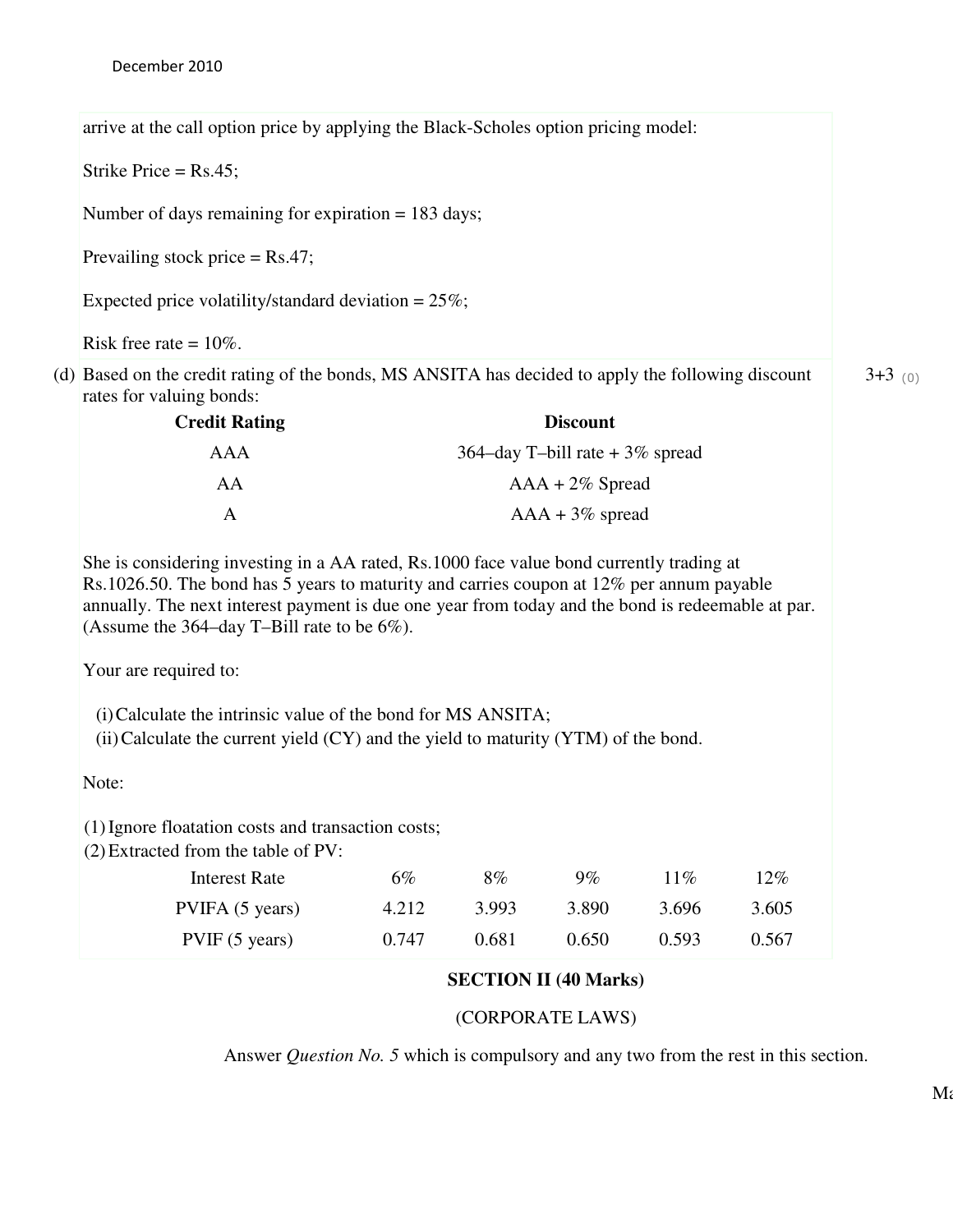arrive at the call option price by applying the Black-Scholes option pricing model:

Strike Price = Rs.45;

Number of days remaining for expiration = 183 days;

Prevailing stock price  $=$  Rs.47;

Expected price volatility/standard deviation =  $25\%$ ;

Risk free rate =  $10\%$ .

(d) Based on the credit rating of the bonds, MS ANSITA has decided to apply the following discount rates for valuing bonds:

| <b>Credit Rating</b> | <b>Discount</b>                   |
|----------------------|-----------------------------------|
| AAA                  | 364–day T–bill rate $+3\%$ spread |
| AA                   | $AAA + 2\%$ Spread                |
|                      | $AAA + 3\%$ spread                |

She is considering investing in a AA rated, Rs.1000 face value bond currently trading at Rs.1026.50. The bond has 5 years to maturity and carries coupon at 12% per annum payable annually. The next interest payment is due one year from today and the bond is redeemable at par. (Assume the 364–day T–Bill rate to be  $6\%$ ).

Your are required to:

(i)Calculate the intrinsic value of the bond for MS ANSITA;

(ii) Calculate the current yield  $(CY)$  and the yield to maturity  $(YTM)$  of the bond.

Note:

(1)Ignore floatation costs and transaction costs;

(2)Extracted from the table of PV:

| Interest Rate   | 6%    | 8%    | $9\%$ | 11%   | 12%   |
|-----------------|-------|-------|-------|-------|-------|
| PVIFA (5 years) | 4.212 | 3.993 | 3.890 | 3.696 | 3.605 |
| PVIF(5 years)   | 0.747 | 0.681 | 0.650 | 0.593 | 0.567 |

## **SECTION II (40 Marks)**

## (CORPORATE LAWS)

Answer *Question No. 5* which is compulsory and any two from the rest in this section.

 $3+3$  (0)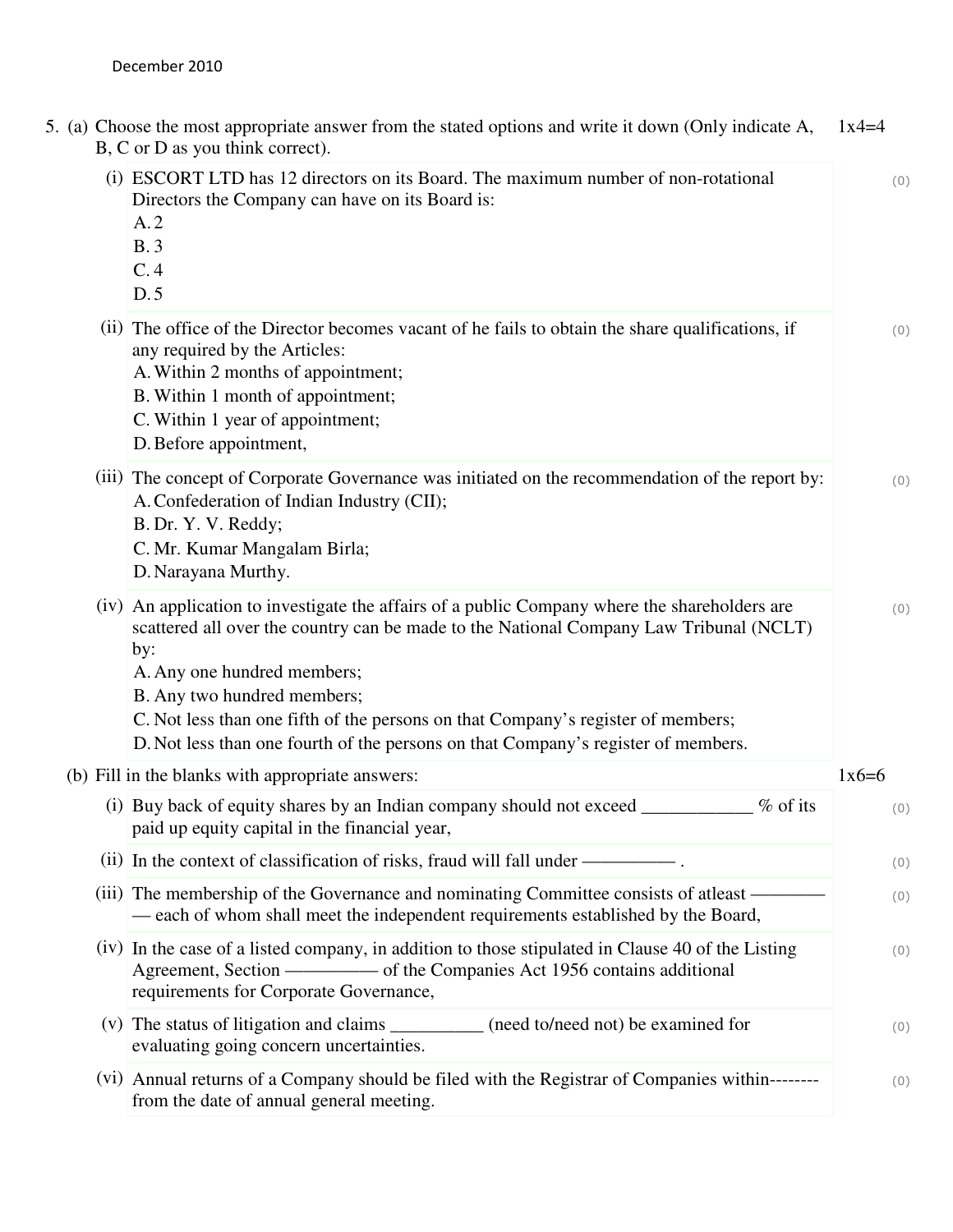| 5. (a) Choose the most appropriate answer from the stated options and write it down (Only indicate A,<br>B, C or D as you think correct).                                                                                                                                                                                                                                                                                             | $1x4=4$ |
|---------------------------------------------------------------------------------------------------------------------------------------------------------------------------------------------------------------------------------------------------------------------------------------------------------------------------------------------------------------------------------------------------------------------------------------|---------|
| (i) ESCORT LTD has 12 directors on its Board. The maximum number of non-rotational<br>Directors the Company can have on its Board is:<br>A.2<br>B.3<br>C.4<br>D.5                                                                                                                                                                                                                                                                     | (0)     |
| (ii) The office of the Director becomes vacant of he fails to obtain the share qualifications, if<br>any required by the Articles:<br>A. Within 2 months of appointment;<br>B. Within 1 month of appointment;<br>C. Within 1 year of appointment;<br>D. Before appointment,                                                                                                                                                           | (0)     |
| (iii) The concept of Corporate Governance was initiated on the recommendation of the report by:<br>A. Confederation of Indian Industry (CII);<br>B. Dr. Y. V. Reddy;<br>C. Mr. Kumar Mangalam Birla;<br>D. Narayana Murthy.                                                                                                                                                                                                           | (0)     |
| (iv) An application to investigate the affairs of a public Company where the shareholders are<br>scattered all over the country can be made to the National Company Law Tribunal (NCLT)<br>by:<br>A. Any one hundred members;<br>B. Any two hundred members;<br>C. Not less than one fifth of the persons on that Company's register of members;<br>D. Not less than one fourth of the persons on that Company's register of members. | (0)     |
| (b) Fill in the blanks with appropriate answers:                                                                                                                                                                                                                                                                                                                                                                                      | $1x6=6$ |
| (i) Buy back of equity shares by an Indian company should not exceed<br>% of its<br>paid up equity capital in the financial year,                                                                                                                                                                                                                                                                                                     | (0)     |
|                                                                                                                                                                                                                                                                                                                                                                                                                                       | (0)     |
| (iii) The membership of the Governance and nominating Committee consists of at least ——<br>— each of whom shall meet the independent requirements established by the Board,                                                                                                                                                                                                                                                           | (0)     |
| (iv) In the case of a listed company, in addition to those stipulated in Clause 40 of the Listing<br>requirements for Corporate Governance,                                                                                                                                                                                                                                                                                           | (0)     |
| (v) The status of litigation and claims ___________ (need to/need not) be examined for<br>evaluating going concern uncertainties.                                                                                                                                                                                                                                                                                                     | (0)     |
| (vi) Annual returns of a Company should be filed with the Registrar of Companies within--------<br>from the date of annual general meeting.                                                                                                                                                                                                                                                                                           | (0)     |